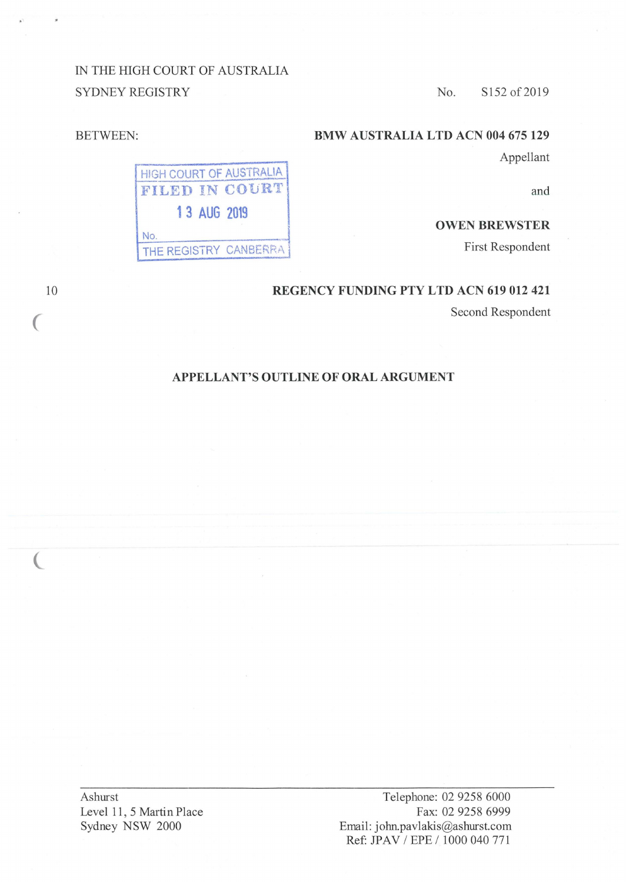IN THE HIGH COURT OF AUSTRALIA SYDNEY REGISTRY

> **HIGH COURT OF AUSTRALIA FILED IN COVRT .**

> > **13 AUG 2019**

No. THE REGISTRY CANBERRA

No. S152 of 2019

# **BMW AUSTRALIA LTD ACN 004 675 129**

Appellant

and

# **OWEN BREWSTER**

First Respondent

## **REGENCY FUNDING PTY LTD ACN 619 012 421**

Second Respondent

### **APPELLANT'S OUTLINE OF ORAL ARGUMENT**

Ashurst Level 11, 5 Martin Place Sydney NSW 2000

Telephone: 02 9258 6000 Fax: 02 9258 6999 Email: john.pavlakis@ashurst.com Ref: JPAV / EPE / 1000 040 771

10

*(* 

 $\overline{C}$ 

BETWEEN: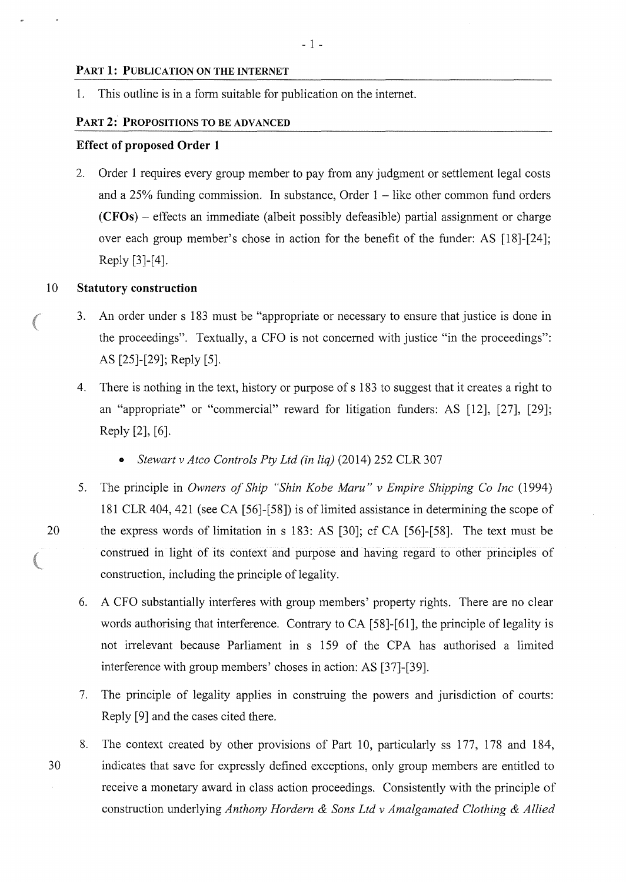#### **PART 1: PUBLICATION ON THE INTERNET**

1. This outline is in a form suitable for publication on the internet.

#### **PART 2: PROPOSITIONS TO BE ADVANCED**

#### **Effect of proposed Order 1**

2. Order 1 requires every group member to pay from any judgment or settlement legal costs and a  $25\%$  funding commission. In substance, Order  $1 -$  like other common fund orders **(CFOs)** - effects an immediate (albeit possibly defeasible) partial assignment or charge over each group member's chose in action for the benefit of the funder: AS [18)-[24]; Reply [3]-[4].

### 10 **Statutory construction**

- 3. An order under s 183 must be "appropriate or necessary to ensure that justice is done in the proceedings". Textually, a CFO is not concerned with justice "in the proceedings": AS [25]-[29]; Reply [5].
- 4. There is nothing in the text, history or purpose of s 183 to suggest that it creates a right to an "appropriate" or "commercial" reward for litigation funders: AS [12), [27], [29]; Reply [2], [6].
	- *Stewart v Atco Controls Pty Ltd (in liq)* (2014) 252 CLR 307
- 5. The principle in *Owners of Ship "Shin Kobe Maru" v Empire Shipping Co Inc* (1994) 181 CLR 404,421 (see CA [56]-[58]) is of limited assistance in determining the scope of 20 the express words of limitation in s 183: AS [30]; cf CA [56]-[58]. The text must be construed in light of its context and purpose and having regard to other principles of construction, including the principle of legality.
	- 6. A CFO substantially interferes with group members' property rights. There are no clear words authorising that interference. Contrary to CA [58]-[61 ], the principle of legality is not irrelevant because Parliament in s 159 of the CPA has authorised a limited interference with group members' choses in action: AS [37]-[39].
	- 7. The principle of legality applies in construing the powers and jurisdiction of courts: Reply [9] and the cases cited there.
- 8. The context created by other provisions of Part 10, particularly ss 177, 178 and 184, 30 indicates that save for expressly defined exceptions, only group members are entitled to receive a monetary award in class action proceedings. Consistently with the principle of construction underlying *Anthony Hordern* & *Sons Ltd v Amalgamated Clothing* & *Allied*

**STORE**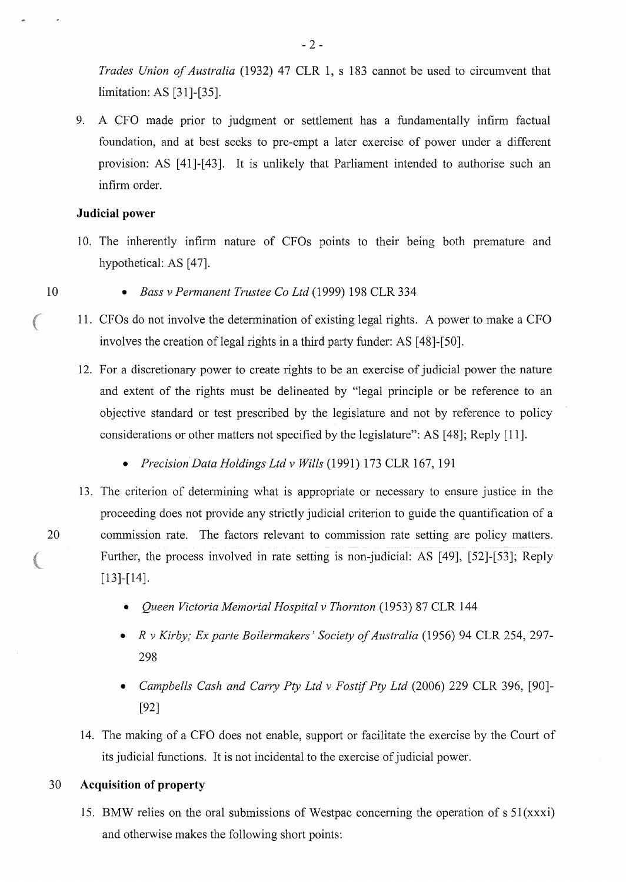*Trades Union of Australia* (1932) 47 CLR 1, s 183 cannot be used to circumvent that limitation: AS [31 ]-[35].

9. A CFO made prior to judgment or settlement has a fundamentally infirm factual foundation, and at best seeks to pre-empt a later exercise of power under a different provision: AS [41]-[43]. It is unlikely that Parliament intended to authorise such an infirm order.

# **Judicial power**

10. The inherently infirm nature of CFOs points to their being both premature and hypothetical: AS [47].

10

a<sup>380</sup>m

- *Bass v Permanent Trustee Co Ltd* (1999) 198 CLR 334
- 11. CFOs do not involve the detennination of existing legal rights. A power to make a CFO involves the creation of legal rights in a third party funder: AS [48]-[50].
- 12. For a discretionary power to create rights to be an exercise of judicial power the nature and extent of the rights must be delineated by "legal principle or be reference to an objective standard or test prescribed by the legislature and not by reference to policy considerations or other matters not specified by the legislature": AS [48]; Reply [11].
	- *Precision Data Holdings Ltd v Wills* (1991) 173 CLR 167, 191
- 13. The criterion of determining what is appropriate or necessary to ensure justice in the proceeding does not provide any strictly judicial criterion to guide the quantification of a 20 commission rate. The factors relevant to commission rate setting are policy matters. Further, the process involved in rate setting is non-judicial: AS [49], [52]-[53]; Reply [13]-[14].
	- *Queen Victoria Memorial Hospital v Thornton* (1953) 87 CLR 144
	- *R v Kirby; Ex parte Boilermakers' Society of Australia* (1956) 94 CLR 254, 297- 298
	- *Campbells Cash and Cany Pty Ltd v Fostif Pty Ltd* (2006) 229 CLR 396, [90]- [92]
	- 14. The making of a CFO does not enable, support or facilitate the exercise by the Court of its judicial functions. It is not incidental to the exercise of judicial power.

# 30 **Acquisition of property**

15. BMW relies on the oral submissions of Westpac concerning the operation of  $s \, 51(xxxi)$ and otherwise makes the following short points: